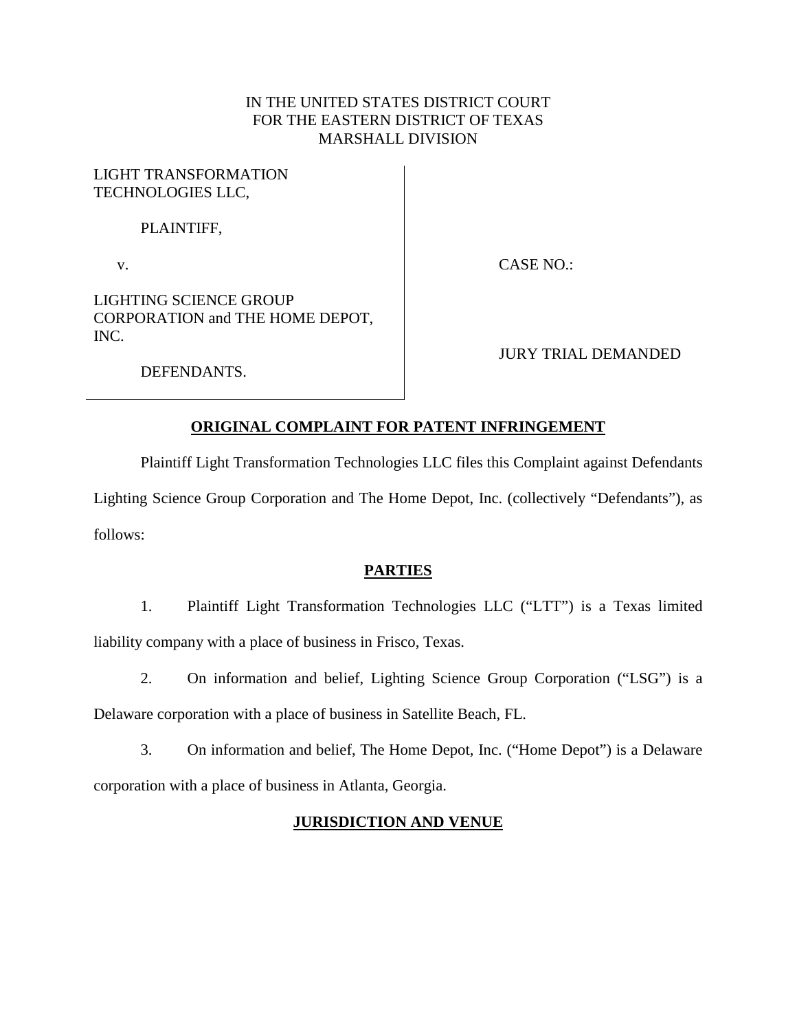## IN THE UNITED STATES DISTRICT COURT FOR THE EASTERN DISTRICT OF TEXAS MARSHALL DIVISION

### LIGHT TRANSFORMATION TECHNOLOGIES LLC,

### PLAINTIFF,

v.

CASE NO.:

LIGHTING SCIENCE GROUP CORPORATION and THE HOME DEPOT, INC.

JURY TRIAL DEMANDED

DEFENDANTS.

# **ORIGINAL COMPLAINT FOR PATENT INFRINGEMENT**

Plaintiff Light Transformation Technologies LLC files this Complaint against Defendants

Lighting Science Group Corporation and The Home Depot, Inc. (collectively "Defendants"), as follows:

# **PARTIES**

1. Plaintiff Light Transformation Technologies LLC ("LTT") is a Texas limited liability company with a place of business in Frisco, Texas.

2. On information and belief, Lighting Science Group Corporation ("LSG") is a

Delaware corporation with a place of business in Satellite Beach, FL.

3. On information and belief, The Home Depot, Inc. ("Home Depot") is a Delaware corporation with a place of business in Atlanta, Georgia.

# **JURISDICTION AND VENUE**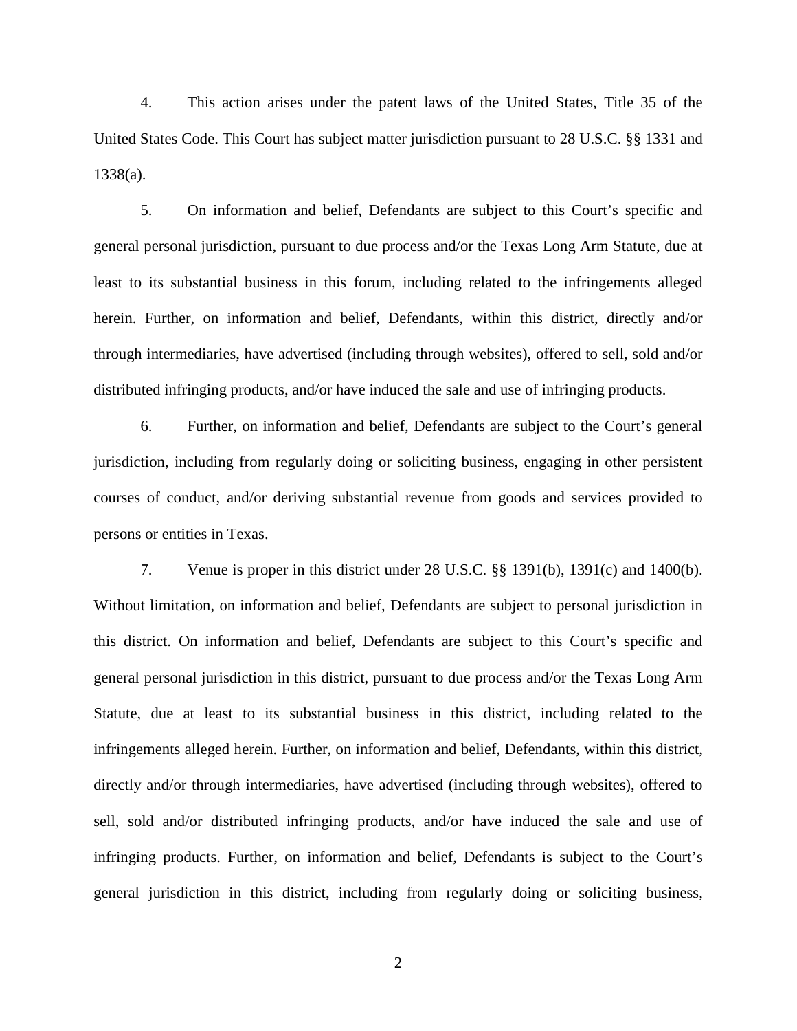4. This action arises under the patent laws of the United States, Title 35 of the United States Code. This Court has subject matter jurisdiction pursuant to 28 U.S.C. §§ 1331 and 1338(a).

5. On information and belief, Defendants are subject to this Court's specific and general personal jurisdiction, pursuant to due process and/or the Texas Long Arm Statute, due at least to its substantial business in this forum, including related to the infringements alleged herein. Further, on information and belief, Defendants, within this district, directly and/or through intermediaries, have advertised (including through websites), offered to sell, sold and/or distributed infringing products, and/or have induced the sale and use of infringing products.

6. Further, on information and belief, Defendants are subject to the Court's general jurisdiction, including from regularly doing or soliciting business, engaging in other persistent courses of conduct, and/or deriving substantial revenue from goods and services provided to persons or entities in Texas.

7. Venue is proper in this district under 28 U.S.C. §§ 1391(b), 1391(c) and 1400(b). Without limitation, on information and belief, Defendants are subject to personal jurisdiction in this district. On information and belief, Defendants are subject to this Court's specific and general personal jurisdiction in this district, pursuant to due process and/or the Texas Long Arm Statute, due at least to its substantial business in this district, including related to the infringements alleged herein. Further, on information and belief, Defendants, within this district, directly and/or through intermediaries, have advertised (including through websites), offered to sell, sold and/or distributed infringing products, and/or have induced the sale and use of infringing products. Further, on information and belief, Defendants is subject to the Court's general jurisdiction in this district, including from regularly doing or soliciting business,

2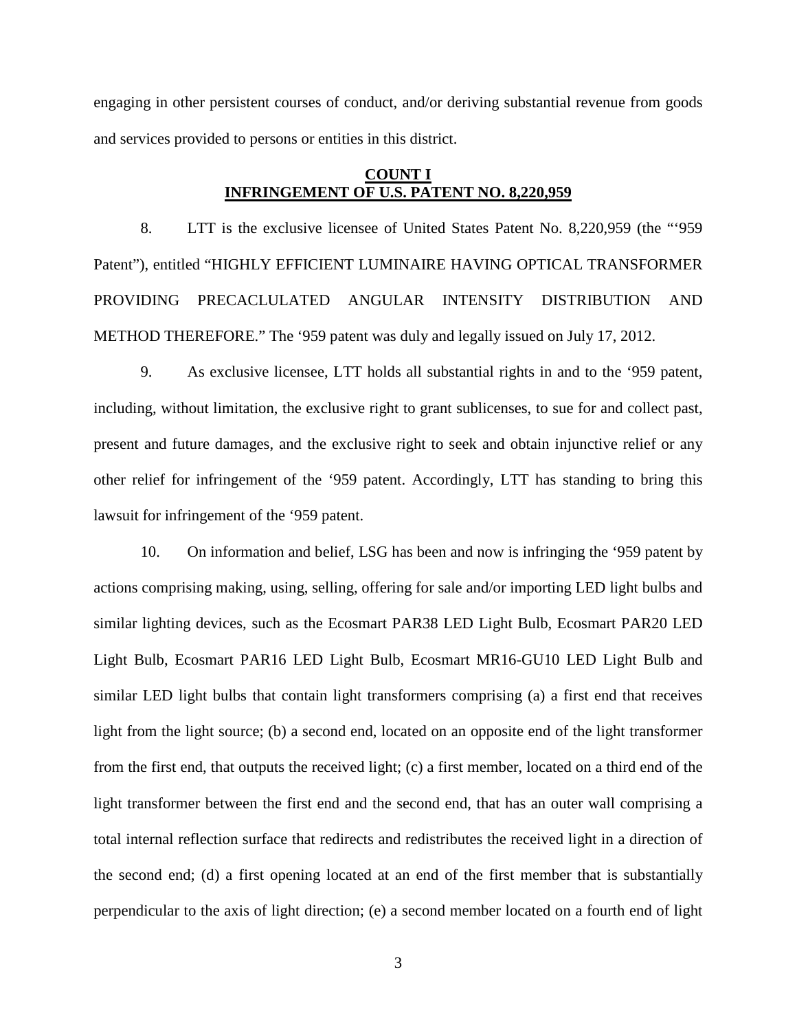engaging in other persistent courses of conduct, and/or deriving substantial revenue from goods and services provided to persons or entities in this district.

### **COUNT I INFRINGEMENT OF U.S. PATENT NO. 8,220,959**

8. LTT is the exclusive licensee of United States Patent No. 8,220,959 (the "'959 Patent"), entitled "HIGHLY EFFICIENT LUMINAIRE HAVING OPTICAL TRANSFORMER PROVIDING PRECACLULATED ANGULAR INTENSITY DISTRIBUTION AND METHOD THEREFORE." The '959 patent was duly and legally issued on July 17, 2012.

9. As exclusive licensee, LTT holds all substantial rights in and to the '959 patent, including, without limitation, the exclusive right to grant sublicenses, to sue for and collect past, present and future damages, and the exclusive right to seek and obtain injunctive relief or any other relief for infringement of the '959 patent. Accordingly, LTT has standing to bring this lawsuit for infringement of the '959 patent.

10. On information and belief, LSG has been and now is infringing the '959 patent by actions comprising making, using, selling, offering for sale and/or importing LED light bulbs and similar lighting devices, such as the Ecosmart PAR38 LED Light Bulb, Ecosmart PAR20 LED Light Bulb, Ecosmart PAR16 LED Light Bulb, Ecosmart MR16-GU10 LED Light Bulb and similar LED light bulbs that contain light transformers comprising (a) a first end that receives light from the light source; (b) a second end, located on an opposite end of the light transformer from the first end, that outputs the received light; (c) a first member, located on a third end of the light transformer between the first end and the second end, that has an outer wall comprising a total internal reflection surface that redirects and redistributes the received light in a direction of the second end; (d) a first opening located at an end of the first member that is substantially perpendicular to the axis of light direction; (e) a second member located on a fourth end of light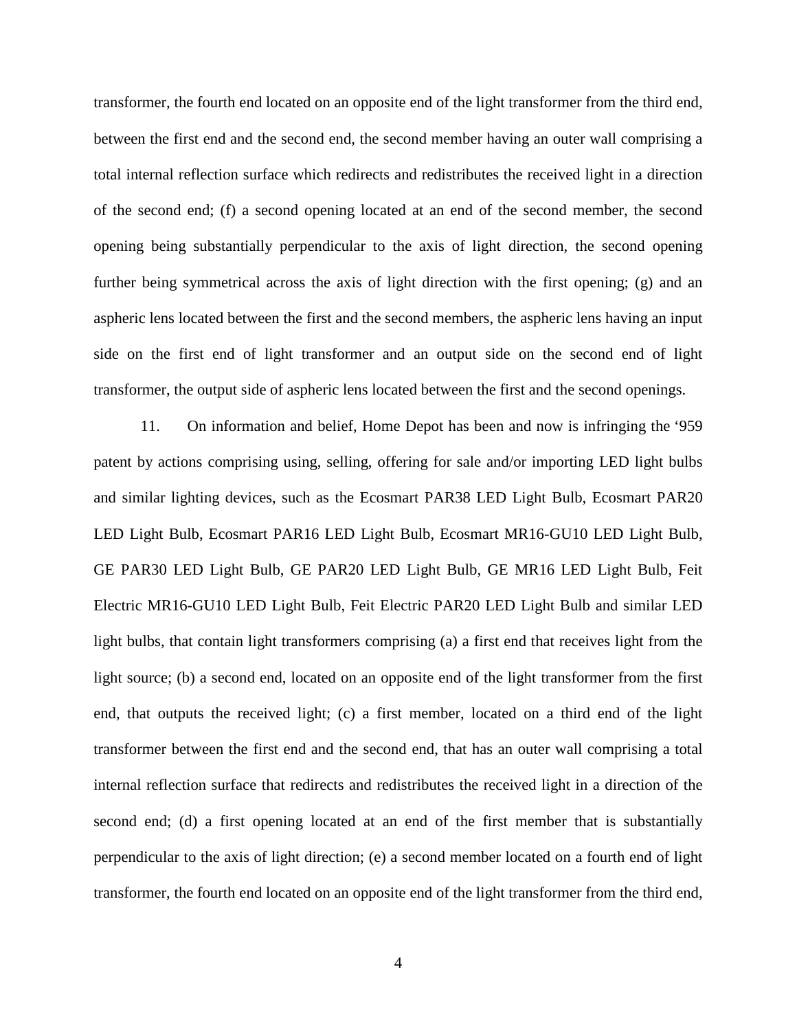transformer, the fourth end located on an opposite end of the light transformer from the third end, between the first end and the second end, the second member having an outer wall comprising a total internal reflection surface which redirects and redistributes the received light in a direction of the second end; (f) a second opening located at an end of the second member, the second opening being substantially perpendicular to the axis of light direction, the second opening further being symmetrical across the axis of light direction with the first opening; (g) and an aspheric lens located between the first and the second members, the aspheric lens having an input side on the first end of light transformer and an output side on the second end of light transformer, the output side of aspheric lens located between the first and the second openings.

11. On information and belief, Home Depot has been and now is infringing the '959 patent by actions comprising using, selling, offering for sale and/or importing LED light bulbs and similar lighting devices, such as the Ecosmart PAR38 LED Light Bulb, Ecosmart PAR20 LED Light Bulb, Ecosmart PAR16 LED Light Bulb, Ecosmart MR16-GU10 LED Light Bulb, GE PAR30 LED Light Bulb, GE PAR20 LED Light Bulb, GE MR16 LED Light Bulb, Feit Electric MR16-GU10 LED Light Bulb, Feit Electric PAR20 LED Light Bulb and similar LED light bulbs, that contain light transformers comprising (a) a first end that receives light from the light source; (b) a second end, located on an opposite end of the light transformer from the first end, that outputs the received light; (c) a first member, located on a third end of the light transformer between the first end and the second end, that has an outer wall comprising a total internal reflection surface that redirects and redistributes the received light in a direction of the second end; (d) a first opening located at an end of the first member that is substantially perpendicular to the axis of light direction; (e) a second member located on a fourth end of light transformer, the fourth end located on an opposite end of the light transformer from the third end,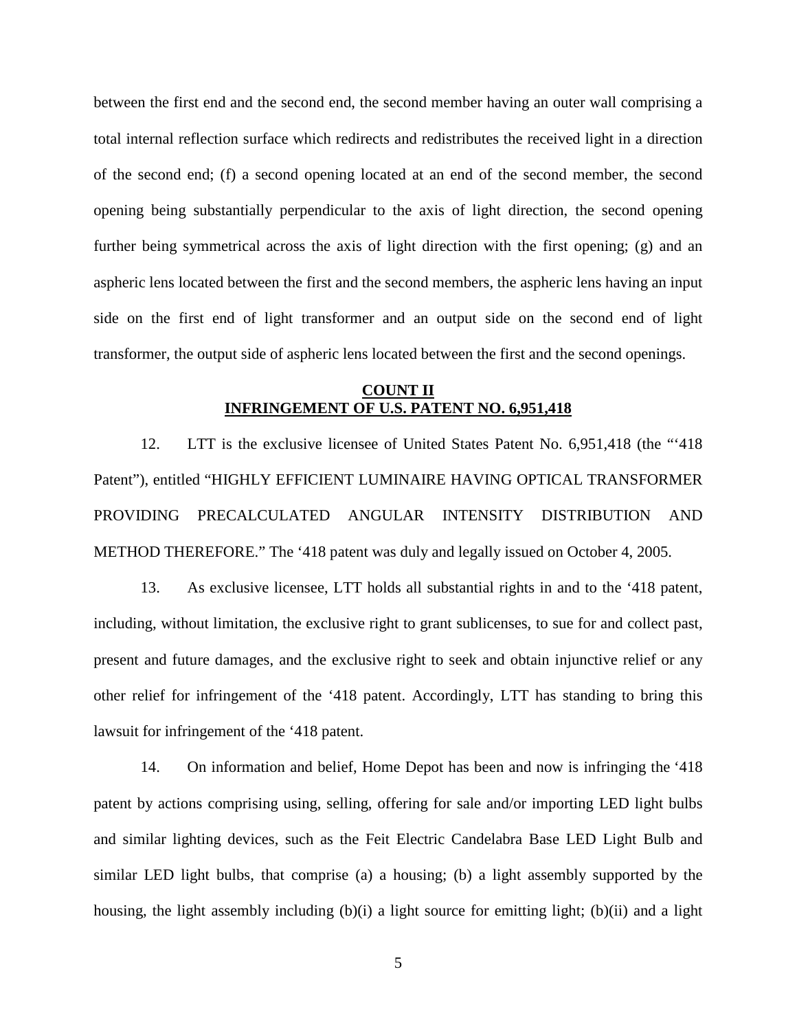between the first end and the second end, the second member having an outer wall comprising a total internal reflection surface which redirects and redistributes the received light in a direction of the second end; (f) a second opening located at an end of the second member, the second opening being substantially perpendicular to the axis of light direction, the second opening further being symmetrical across the axis of light direction with the first opening; (g) and an aspheric lens located between the first and the second members, the aspheric lens having an input side on the first end of light transformer and an output side on the second end of light transformer, the output side of aspheric lens located between the first and the second openings.

### **COUNT II INFRINGEMENT OF U.S. PATENT NO. 6,951,418**

12. LTT is the exclusive licensee of United States Patent No. 6,951,418 (the "'418 Patent"), entitled "HIGHLY EFFICIENT LUMINAIRE HAVING OPTICAL TRANSFORMER PROVIDING PRECALCULATED ANGULAR INTENSITY DISTRIBUTION AND METHOD THEREFORE." The '418 patent was duly and legally issued on October 4, 2005.

13. As exclusive licensee, LTT holds all substantial rights in and to the '418 patent, including, without limitation, the exclusive right to grant sublicenses, to sue for and collect past, present and future damages, and the exclusive right to seek and obtain injunctive relief or any other relief for infringement of the '418 patent. Accordingly, LTT has standing to bring this lawsuit for infringement of the '418 patent.

14. On information and belief, Home Depot has been and now is infringing the '418 patent by actions comprising using, selling, offering for sale and/or importing LED light bulbs and similar lighting devices, such as the Feit Electric Candelabra Base LED Light Bulb and similar LED light bulbs, that comprise (a) a housing; (b) a light assembly supported by the housing, the light assembly including (b)(i) a light source for emitting light; (b)(ii) and a light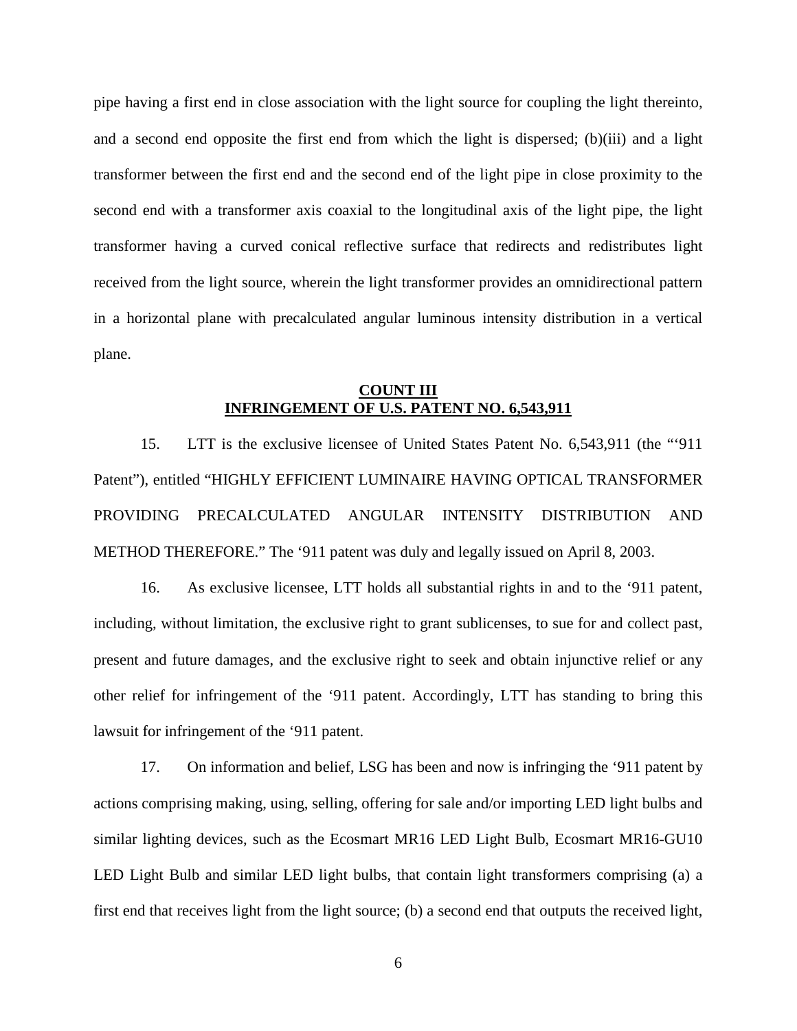pipe having a first end in close association with the light source for coupling the light thereinto, and a second end opposite the first end from which the light is dispersed; (b)(iii) and a light transformer between the first end and the second end of the light pipe in close proximity to the second end with a transformer axis coaxial to the longitudinal axis of the light pipe, the light transformer having a curved conical reflective surface that redirects and redistributes light received from the light source, wherein the light transformer provides an omnidirectional pattern in a horizontal plane with precalculated angular luminous intensity distribution in a vertical plane.

#### **COUNT III INFRINGEMENT OF U.S. PATENT NO. 6,543,911**

15. LTT is the exclusive licensee of United States Patent No. 6,543,911 (the "'911 Patent"), entitled "HIGHLY EFFICIENT LUMINAIRE HAVING OPTICAL TRANSFORMER PROVIDING PRECALCULATED ANGULAR INTENSITY DISTRIBUTION AND METHOD THEREFORE." The '911 patent was duly and legally issued on April 8, 2003.

16. As exclusive licensee, LTT holds all substantial rights in and to the '911 patent, including, without limitation, the exclusive right to grant sublicenses, to sue for and collect past, present and future damages, and the exclusive right to seek and obtain injunctive relief or any other relief for infringement of the '911 patent. Accordingly, LTT has standing to bring this lawsuit for infringement of the '911 patent.

17. On information and belief, LSG has been and now is infringing the '911 patent by actions comprising making, using, selling, offering for sale and/or importing LED light bulbs and similar lighting devices, such as the Ecosmart MR16 LED Light Bulb, Ecosmart MR16-GU10 LED Light Bulb and similar LED light bulbs, that contain light transformers comprising (a) a first end that receives light from the light source; (b) a second end that outputs the received light,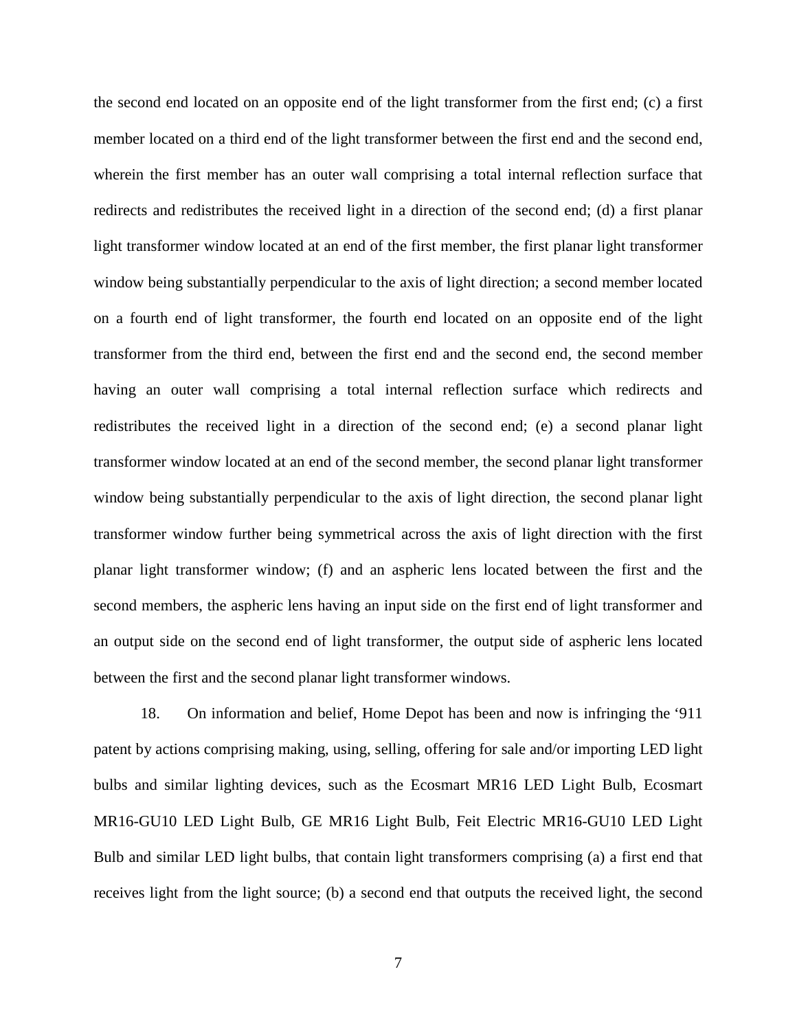the second end located on an opposite end of the light transformer from the first end; (c) a first member located on a third end of the light transformer between the first end and the second end, wherein the first member has an outer wall comprising a total internal reflection surface that redirects and redistributes the received light in a direction of the second end; (d) a first planar light transformer window located at an end of the first member, the first planar light transformer window being substantially perpendicular to the axis of light direction; a second member located on a fourth end of light transformer, the fourth end located on an opposite end of the light transformer from the third end, between the first end and the second end, the second member having an outer wall comprising a total internal reflection surface which redirects and redistributes the received light in a direction of the second end; (e) a second planar light transformer window located at an end of the second member, the second planar light transformer window being substantially perpendicular to the axis of light direction, the second planar light transformer window further being symmetrical across the axis of light direction with the first planar light transformer window; (f) and an aspheric lens located between the first and the second members, the aspheric lens having an input side on the first end of light transformer and an output side on the second end of light transformer, the output side of aspheric lens located between the first and the second planar light transformer windows.

18. On information and belief, Home Depot has been and now is infringing the '911 patent by actions comprising making, using, selling, offering for sale and/or importing LED light bulbs and similar lighting devices, such as the Ecosmart MR16 LED Light Bulb, Ecosmart MR16-GU10 LED Light Bulb, GE MR16 Light Bulb, Feit Electric MR16-GU10 LED Light Bulb and similar LED light bulbs, that contain light transformers comprising (a) a first end that receives light from the light source; (b) a second end that outputs the received light, the second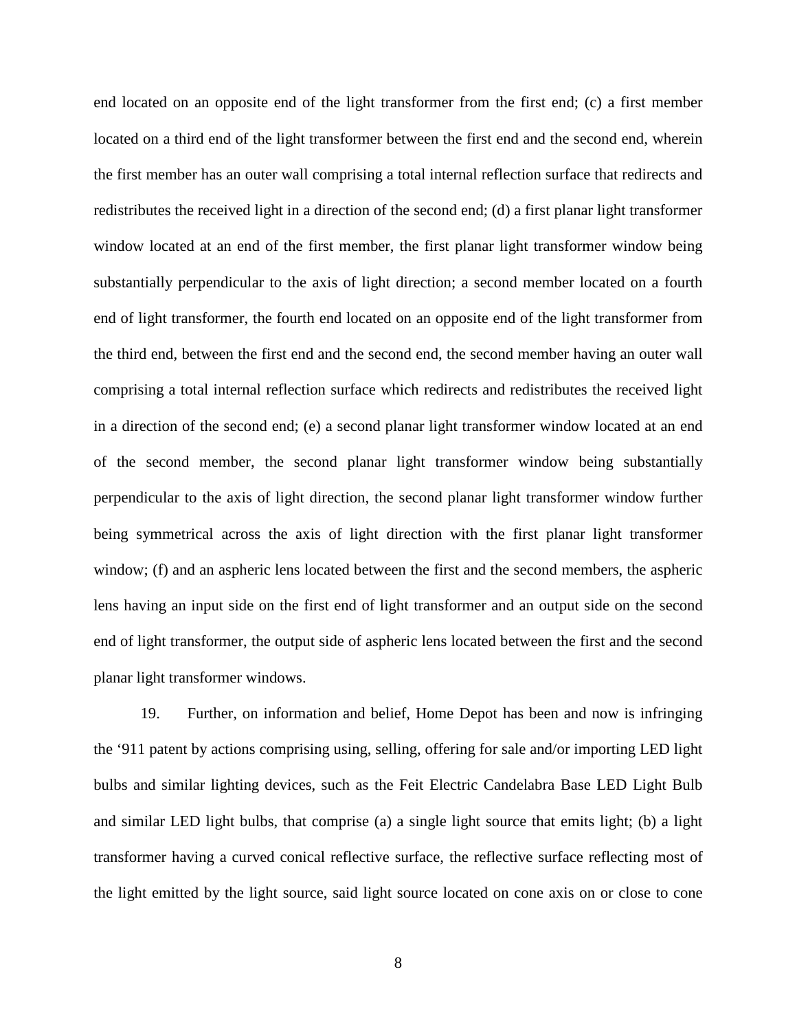end located on an opposite end of the light transformer from the first end; (c) a first member located on a third end of the light transformer between the first end and the second end, wherein the first member has an outer wall comprising a total internal reflection surface that redirects and redistributes the received light in a direction of the second end; (d) a first planar light transformer window located at an end of the first member, the first planar light transformer window being substantially perpendicular to the axis of light direction; a second member located on a fourth end of light transformer, the fourth end located on an opposite end of the light transformer from the third end, between the first end and the second end, the second member having an outer wall comprising a total internal reflection surface which redirects and redistributes the received light in a direction of the second end; (e) a second planar light transformer window located at an end of the second member, the second planar light transformer window being substantially perpendicular to the axis of light direction, the second planar light transformer window further being symmetrical across the axis of light direction with the first planar light transformer window; (f) and an aspheric lens located between the first and the second members, the aspheric lens having an input side on the first end of light transformer and an output side on the second end of light transformer, the output side of aspheric lens located between the first and the second planar light transformer windows.

19. Further, on information and belief, Home Depot has been and now is infringing the '911 patent by actions comprising using, selling, offering for sale and/or importing LED light bulbs and similar lighting devices, such as the Feit Electric Candelabra Base LED Light Bulb and similar LED light bulbs, that comprise (a) a single light source that emits light; (b) a light transformer having a curved conical reflective surface, the reflective surface reflecting most of the light emitted by the light source, said light source located on cone axis on or close to cone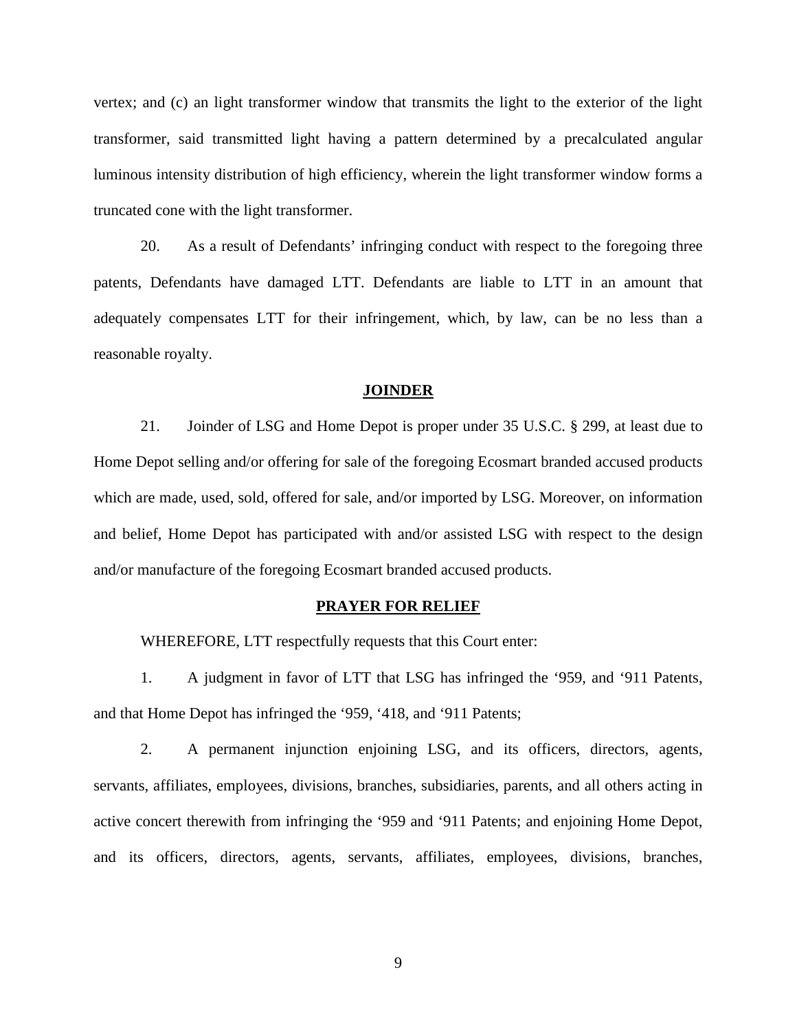vertex; and (c) an light transformer window that transmits the light to the exterior of the light transformer, said transmitted light having a pattern determined by a precalculated angular luminous intensity distribution of high efficiency, wherein the light transformer window forms a truncated cone with the light transformer.

20. As a result of Defendants' infringing conduct with respect to the foregoing three patents, Defendants have damaged LTT. Defendants are liable to LTT in an amount that adequately compensates LTT for their infringement, which, by law, can be no less than a reasonable royalty.

#### **JOINDER**

21. Joinder of LSG and Home Depot is proper under 35 U.S.C. § 299, at least due to Home Depot selling and/or offering for sale of the foregoing Ecosmart branded accused products which are made, used, sold, offered for sale, and/or imported by LSG. Moreover, on information and belief, Home Depot has participated with and/or assisted LSG with respect to the design and/or manufacture of the foregoing Ecosmart branded accused products.

#### **PRAYER FOR RELIEF**

WHEREFORE, LTT respectfully requests that this Court enter:

1. A judgment in favor of LTT that LSG has infringed the '959, and '911 Patents, and that Home Depot has infringed the '959, '418, and '911 Patents;

2. A permanent injunction enjoining LSG, and its officers, directors, agents, servants, affiliates, employees, divisions, branches, subsidiaries, parents, and all others acting in active concert therewith from infringing the '959 and '911 Patents; and enjoining Home Depot, and its officers, directors, agents, servants, affiliates, employees, divisions, branches,

9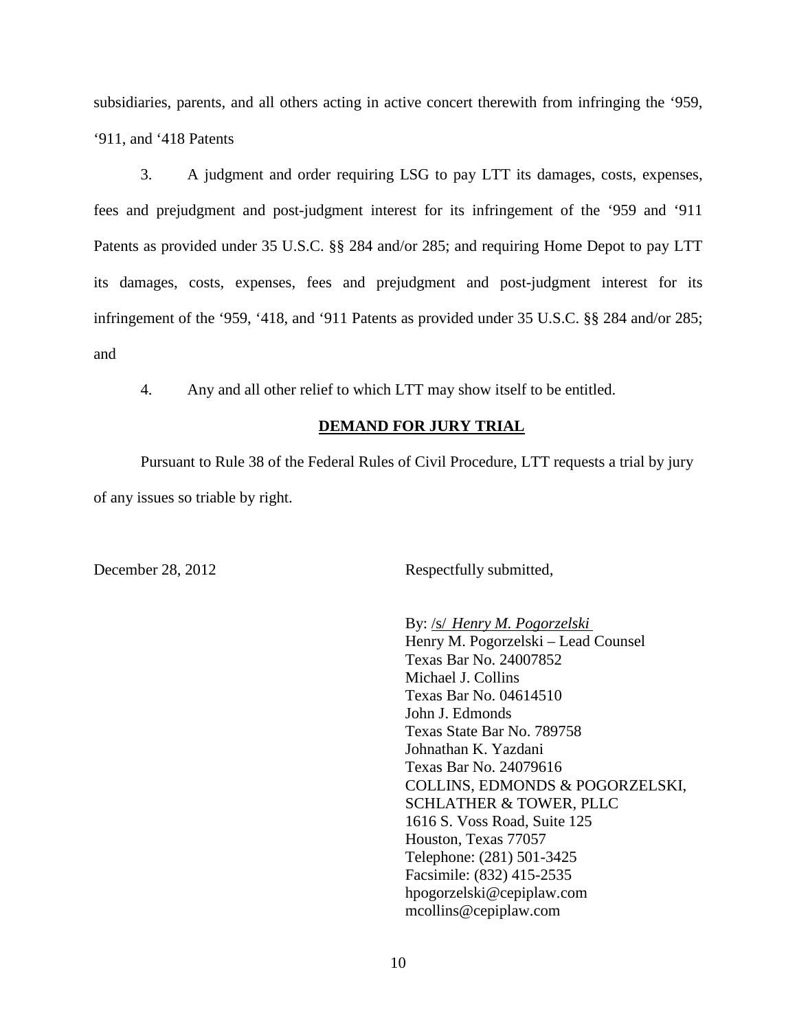subsidiaries, parents, and all others acting in active concert therewith from infringing the '959, '911, and '418 Patents

3. A judgment and order requiring LSG to pay LTT its damages, costs, expenses, fees and prejudgment and post-judgment interest for its infringement of the '959 and '911 Patents as provided under 35 U.S.C. §§ 284 and/or 285; and requiring Home Depot to pay LTT its damages, costs, expenses, fees and prejudgment and post-judgment interest for its infringement of the '959, '418, and '911 Patents as provided under 35 U.S.C. §§ 284 and/or 285; and

4. Any and all other relief to which LTT may show itself to be entitled.

### **DEMAND FOR JURY TRIAL**

Pursuant to Rule 38 of the Federal Rules of Civil Procedure, LTT requests a trial by jury of any issues so triable by right.

December 28, 2012 Respectfully submitted,

By: /s/ *Henry M. Pogorzelski* Henry M. Pogorzelski – Lead Counsel Texas Bar No. 24007852 Michael J. Collins Texas Bar No. 04614510 John J. Edmonds Texas State Bar No. 789758 Johnathan K. Yazdani Texas Bar No. 24079616 COLLINS, EDMONDS & POGORZELSKI, SCHLATHER & TOWER, PLLC 1616 S. Voss Road, Suite 125 Houston, Texas 77057 Telephone: (281) 501-3425 Facsimile: (832) 415-2535 hpogorzelski@cepiplaw.com mcollins@cepiplaw.com